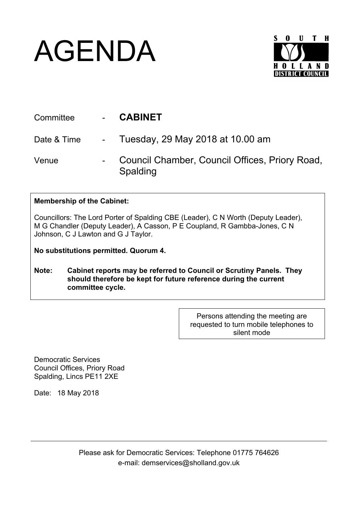## AGENDA



| Committee   | - CABINET                                                  |
|-------------|------------------------------------------------------------|
| Date & Time | - Tuesday, 29 May 2018 at 10.00 am                         |
| Venue       | Council Chamber, Council Offices, Priory Road,<br>Spalding |

## **Membership of the Cabinet:**

Councillors: The Lord Porter of Spalding CBE (Leader), C N Worth (Deputy Leader), M G Chandler (Deputy Leader), A Casson, P E Coupland, R Gambba-Jones, C N Johnson, C J Lawton and G J Taylor.

**No substitutions permitted. Quorum 4.**

**Note: Cabinet reports may be referred to Council or Scrutiny Panels. They should therefore be kept for future reference during the current committee cycle.** 

> Persons attending the meeting are requested to turn mobile telephones to silent mode

Democratic Services Council Offices, Priory Road Spalding, Lincs PE11 2XE

Date: 18 May 2018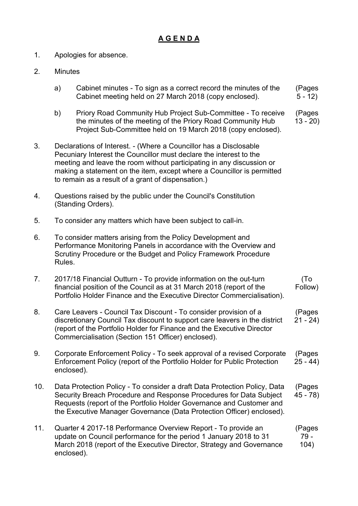## **A G E N D A**

- 1. Apologies for absence.
- 2. Minutes
	- a) Cabinet minutes To sign as a correct record the minutes of the Cabinet meeting held on 27 March 2018 (copy enclosed). (Pages  $5 - 12$
	- b) Priory Road Community Hub Project Sub-Committee To receive the minutes of the meeting of the Priory Road Community Hub Project Sub-Committee held on 19 March 2018 (copy enclosed). (Pages 13 - 20)
- 3. Declarations of Interest. (Where a Councillor has a Disclosable Pecuniary Interest the Councillor must declare the interest to the meeting and leave the room without participating in any discussion or making a statement on the item, except where a Councillor is permitted to remain as a result of a grant of dispensation.)
- 4. Questions raised by the public under the Council's Constitution (Standing Orders).
- 5. To consider any matters which have been subject to call-in.
- 6. To consider matters arising from the Policy Development and Performance Monitoring Panels in accordance with the Overview and Scrutiny Procedure or the Budget and Policy Framework Procedure Rules.
- 7. 2017/18 Financial Outturn To provide information on the out-turn financial position of the Council as at 31 March 2018 (report of the Portfolio Holder Finance and the Executive Director Commercialisation). (To Follow)
- 8. Care Leavers Council Tax Discount To consider provision of a discretionary Council Tax discount to support care leavers in the district (report of the Portfolio Holder for Finance and the Executive Director Commercialisation (Section 151 Officer) enclosed). (Pages  $21 - 24$
- 9. Corporate Enforcement Policy To seek approval of a revised Corporate Enforcement Policy (report of the Portfolio Holder for Public Protection enclosed). (Pages 25 - 44)
- 10. Data Protection Policy To consider a draft Data Protection Policy, Data Security Breach Procedure and Response Procedures for Data Subject Requests (report of the Portfolio Holder Governance and Customer and the Executive Manager Governance (Data Protection Officer) enclosed). (Pages 45 - 78)
- 11. Quarter 4 2017-18 Performance Overview Report To provide an update on Council performance for the period 1 January 2018 to 31 March 2018 (report of the Executive Director, Strategy and Governance enclosed). (Pages 79 - 104)